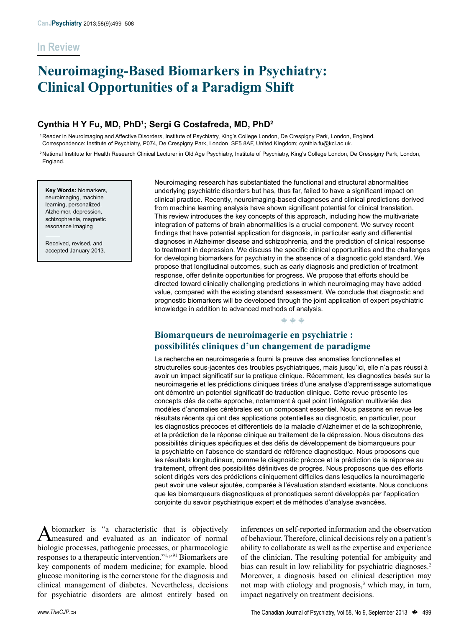## **In Review**

# **Neuroimaging-Based Biomarkers in Psychiatry: Clinical Opportunities of a Paradigm Shift**

## **Cynthia H Y Fu, MD, PhD1 ; Sergi G Costafreda, MD, PhD2**

1Reader in Neuroimaging and Affective Disorders, Institute of Psychiatry, King's College London, De Crespigny Park, London, England. Correspondence: Institute of Psychiatry, P074, De Crespigny Park, London SE5 8AF, United Kingdom; cynthia.fu@kcl.ac.uk.

<sup>2</sup>National Institute for Health Research Clinical Lecturer in Old Age Psychiatry, Institute of Psychiatry, King's College London, De Crespigny Park, London, England.

**Key Words:** biomarkers, neuroimaging, machine learning, personalized, Alzheimer, depression, schizophrenia, magnetic resonance imaging

Received, revised, and accepted January 2013.

Neuroimaging research has substantiated the functional and structural abnormalities underlying psychiatric disorders but has, thus far, failed to have a significant impact on clinical practice. Recently, neuroimaging-based diagnoses and clinical predictions derived from machine learning analysis have shown significant potential for clinical translation. This review introduces the key concepts of this approach, including how the multivariate integration of patterns of brain abnormalities is a crucial component. We survey recent findings that have potential application for diagnosis, in particular early and differential diagnoses in Alzheimer disease and schizophrenia, and the prediction of clinical response to treatment in depression. We discuss the specific clinical opportunities and the challenges for developing biomarkers for psychiatry in the absence of a diagnostic gold standard. We propose that longitudinal outcomes, such as early diagnosis and prediction of treatment response, offer definite opportunities for progress. We propose that efforts should be directed toward clinically challenging predictions in which neuroimaging may have added value, compared with the existing standard assessment. We conclude that diagnostic and prognostic biomarkers will be developed through the joint application of expert psychiatric knowledge in addition to advanced methods of analysis.

W W W

## **Biomarqueurs de neuroimagerie en psychiatrie : possibilités cliniques d'un changement de paradigme**

La recherche en neuroimagerie a fourni la preuve des anomalies fonctionnelles et structurelles sous-jacentes des troubles psychiatriques, mais jusqu'ici, elle n'a pas réussi à avoir un impact significatif sur la pratique clinique. Récemment, les diagnostics basés sur la neuroimagerie et les prédictions cliniques tirées d'une analyse d'apprentissage automatique ont démontré un potentiel significatif de traduction clinique. Cette revue présente les concepts clés de cette approche, notamment à quel point l'intégration multivariée des modèles d'anomalies cérébrales est un composant essentiel. Nous passons en revue les résultats récents qui ont des applications potentielles au diagnostic, en particulier, pour les diagnostics précoces et différentiels de la maladie d'Alzheimer et de la schizophrénie, et la prédiction de la réponse clinique au traitement de la dépression. Nous discutons des possibilités cliniques spécifiques et des défis de développement de biomarqueurs pour la psychiatrie en l'absence de standard de référence diagnostique. Nous proposons que les résultats longitudinaux, comme le diagnostic précoce et la prédiction de la réponse au traitement, offrent des possibilités définitives de progrès. Nous proposons que des efforts soient dirigés vers des prédictions cliniquement difficiles dans lesquelles la neuroimagerie peut avoir une valeur ajoutée, comparée à l'évaluation standard existante. Nous concluons que les biomarqueurs diagnostiques et pronostiques seront développés par l'application conjointe du savoir psychiatrique expert et de méthodes d'analyse avancées.

A biomarker is "a characteristic that is objectively measured and evaluated as an indicator of normal biologic processes, pathogenic processes, or pharmacologic responses to a therapeutic intervention."<sup>1, p 91</sup> Biomarkers are key components of modern medicine; for example, blood glucose monitoring is the cornerstone for the diagnosis and clinical management of diabetes. Nevertheless, decisions for psychiatric disorders are almost entirely based on

inferences on self-reported information and the observation of behaviour. Therefore, clinical decisions rely on a patient's ability to collaborate as well as the expertise and experience of the clinician. The resulting potential for ambiguity and bias can result in low reliability for psychiatric diagnoses.<sup>2</sup> Moreover, a diagnosis based on clinical description may not map with etiology and prognosis,<sup>3</sup> which may, in turn, impact negatively on treatment decisions.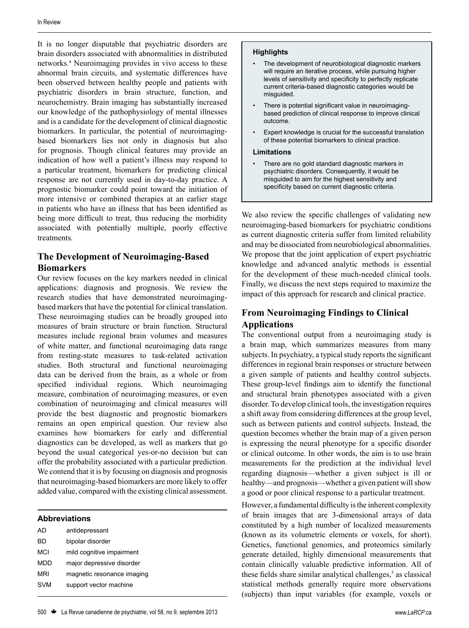It is no longer disputable that psychiatric disorders are brain disorders associated with abnormalities in distributed networks.4 Neuroimaging provides in vivo access to these abnormal brain circuits, and systematic differences have been observed between healthy people and patients with psychiatric disorders in brain structure, function, and neurochemistry. Brain imaging has substantially increased our knowledge of the pathophysiology of mental illnesses and is a candidate for the development of clinical diagnostic biomarkers. In particular, the potential of neuroimagingbased biomarkers lies not only in diagnosis but also for prognosis. Though clinical features may provide an indication of how well a patient's illness may respond to a particular treatment, biomarkers for predicting clinical response are not currently used in day-to-day practice. A prognostic biomarker could point toward the initiation of more intensive or combined therapies at an earlier stage in patients who have an illness that has been identified as being more difficult to treat, thus reducing the morbidity associated with potentially multiple, poorly effective treatments.

## **The Development of Neuroimaging-Based Biomarkers**

Our review focuses on the key markers needed in clinical applications: diagnosis and prognosis. We review the research studies that have demonstrated neuroimagingbased markers that have the potential for clinical translation. These neuroimaging studies can be broadly grouped into measures of brain structure or brain function. Structural measures include regional brain volumes and measures of white matter, and functional neuroimaging data range from resting-state measures to task-related activation studies. Both structural and functional neuroimaging data can be derived from the brain, as a whole or from specified individual regions. Which neuroimaging measure, combination of neuroimaging measures, or even combination of neuroimaging and clinical measures will provide the best diagnostic and prognostic biomarkers remains an open empirical question. Our review also examines how biomarkers for early and differential diagnostics can be developed, as well as markers that go beyond the usual categorical yes-or-no decision but can offer the probability associated with a particular prediction. We contend that it is by focusing on diagnosis and prognosis that neuroimaging-based biomarkers are more likely to offer added value, compared with the existing clinical assessment.

#### **Abbreviations**

| AD         | antidepressant             |
|------------|----------------------------|
| BD.        | bipolar disorder           |
| MCI        | mild cognitive impairment  |
| <b>MDD</b> | major depressive disorder  |
| <b>MRI</b> | magnetic resonance imaging |
| <b>SVM</b> | support vector machine     |
|            |                            |

#### **Highlights**

- The development of neurobiological diagnostic markers will require an iterative process, while pursuing higher levels of sensitivity and specificity to perfectly replicate current criteria-based diagnostic categories would be misguided.
- There is potential significant value in neuroimagingbased prediction of clinical response to improve clinical outcome.
- Expert knowledge is crucial for the successful translation of these potential biomarkers to clinical practice.

#### **Limitations**

There are no gold standard diagnostic markers in psychiatric disorders. Consequently, it would be misguided to aim for the highest sensitivity and specificity based on current diagnostic criteria.

We also review the specific challenges of validating new neuroimaging-based biomarkers for psychiatric conditions as current diagnostic criteria suffer from limited reliability and may be dissociated from neurobiological abnormalities. We propose that the joint application of expert psychiatric knowledge and advanced analytic methods is essential for the development of these much-needed clinical tools. Finally, we discuss the next steps required to maximize the impact of this approach for research and clinical practice.

### **From Neuroimaging Findings to Clinical Applications**

The conventional output from a neuroimaging study is a brain map, which summarizes measures from many subjects. In psychiatry, a typical study reports the significant differences in regional brain responses or structure between a given sample of patients and healthy control subjects. These group-level findings aim to identify the functional and structural brain phenotypes associated with a given disorder. To develop clinical tools, the investigation requires a shift away from considering differences at the group level, such as between patients and control subjects. Instead, the question becomes whether the brain map of a given person is expressing the neural phenotype for a specific disorder or clinical outcome. In other words, the aim is to use brain measurements for the prediction at the individual level regarding diagnosis—whether a given subject is ill or healthy—and prognosis—whether a given patient will show a good or poor clinical response to a particular treatment.

However, a fundamental difficulty is the inherent complexity of brain images that are 3-dimensional arrays of data constituted by a high number of localized measurements (known as its volumetric elements or voxels, for short). Genetics, functional genomics, and proteomics similarly generate detailed, highly dimensional measurements that contain clinically valuable predictive information. All of these fields share similar analytical challenges,<sup>5</sup> as classical statistical methods generally require more observations (subjects) than input variables (for example, voxels or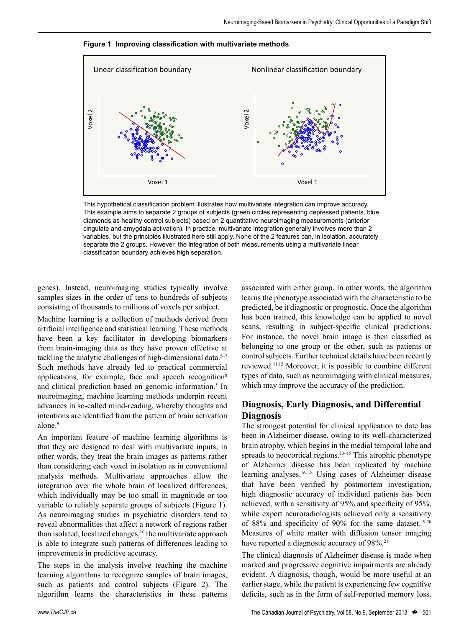Linear classification boundary Nonlinear classification boundary Voxel 2 Voxel 2 Voxel 1 Voxel 1

**Figure 1 Improving classification with multivariate methods**

This hypothetical classification problem illustrates how multivariate integration can improve accuracy. This example aims to separate 2 groups of subjects (green circles representing depressed patients, blue diamonds as healthy control subjects) based on 2 quantitative neuroimaging measurements (anterior cingulate and amygdala activation). In practice, multivariate integration generally involves more than 2 variables, but the principles illustrated here still apply. None of the 2 features can, in isolation, accurately separate the 2 groups. However, the integration of both measurements using a multivariate linear classification boundary achieves high separation.

genes). Instead, neuroimaging studies typically involve samples sizes in the order of tens to hundreds of subjects consisting of thousands to millions of voxels per subject.

Machine learning is a collection of methods derived from artificial intelligence and statistical learning. These methods have been a key facilitator in developing biomarkers from brain-imaging data as they have proven effective at tackling the analytic challenges of high-dimensional data. $5-7$ Such methods have already led to practical commercial applications, for example, face and speech recognition<sup>8</sup> and clinical prediction based on genomic information.<sup>5</sup> In neuroimaging, machine learning methods underpin recent advances in so-called mind-reading, whereby thoughts and intentions are identified from the pattern of brain activation alone.<sup>9</sup>

An important feature of machine learning algorithms is that they are designed to deal with multivariate inputs; in other words, they treat the brain images as patterns rather than considering each voxel in isolation as in conventional analysis methods. Multivariate approaches allow the integration over the whole brain of localized differences, which individually may be too small in magnitude or too variable to reliably separate groups of subjects (Figure 1). As neuroimaging studies in psychiatric disorders tend to reveal abnormalities that affect a network of regions rather than isolated, localized changes, $10$  the multivariate approach is able to integrate such patterns of differences leading to improvements in predictive accuracy.

The steps in the analysis involve teaching the machine learning algorithms to recognize samples of brain images, such as patients and control subjects (Figure 2). The algorithm learns the characteristics in these patterns

associated with either group. In other words, the algorithm learns the phenotype associated with the characteristic to be predicted, be it diagnostic or prognostic. Once the algorithm has been trained, this knowledge can be applied to novel scans, resulting in subject-specific clinical predictions. For instance, the novel brain image is then classified as belonging to one group or the other, such as patients or control subjects. Further technical details have been recently reviewed.11,12 Moreover, it is possible to combine different types of data, such as neuroimaging with clinical measures, which may improve the accuracy of the prediction.

#### **Diagnosis, Early Diagnosis, and Differential Diagnosis**

The strongest potential for clinical application to date has been in Alzheimer disease, owing to its well-characterized brain atrophy, which begins in the medial temporal lobe and spreads to neocortical regions. $13-15$  This atrophic phenotype of Alzheimer disease has been replicated by machine learning analyses.16–18 Using cases of Alzheimer disease that have been verified by postmortem investigation, high diagnostic accuracy of individual patients has been achieved, with a sensitivity of 95% and specificity of 95%, while expert neuroradiologists achieved only a sensitivity of 88% and specificity of 90% for the same dataset.<sup>19,20</sup> Measures of white matter with diffusion tensor imaging have reported a diagnostic accuracy of 98%.<sup>21</sup>

The clinical diagnosis of Alzheimer disease is made when marked and progressive cognitive impairments are already evident. A diagnosis, though, would be more useful at an earlier stage, while the patient is experiencing few cognitive deficits, such as in the form of self-reported memory loss.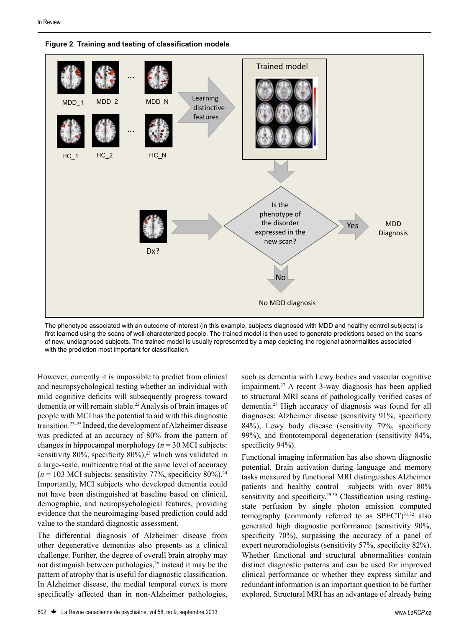

**Figure 2 Training and testing of classification models**

The phenotype associated with an outcome of interest (in this example, subjects diagnosed with MDD and healthy control subjects) is first learned using the scans of well-characterized people. The trained model is then used to generate predictions based on the scans of new, undiagnosed subjects. The trained model is usually represented by a map depicting the regional abnormalities associated with the prediction most important for classification.

However, currently it is impossible to predict from clinical and neuropsychological testing whether an individual with mild cognitive deficits will subsequently progress toward dementia or will remain stable.<sup>22</sup> Analysis of brain images of people with MCI has the potential to aid with this diagnostic transition.23–25 Indeed, the development of Alzheimer disease was predicted at an accuracy of 80% from the pattern of changes in hippocampal morphology (*n* = 30 MCI subjects: sensitivity 80%, specificity 80%),<sup>23</sup> which was validated in a large-scale, multicentre trial at the same level of accuracy  $(n = 103 \text{ MCI subjects: sensitivity } 77\%$ , specificity 80%).<sup>24</sup> Importantly, MCI subjects who developed dementia could not have been distinguished at baseline based on clinical, demographic, and neuropsychological features, providing evidence that the neuroimaging-based prediction could add value to the standard diagnostic assessment.

The differential diagnosis of Alzheimer disease from other degenerative dementias also presents as a clinical challenge. Further, the degree of overall brain atrophy may not distinguish between pathologies,<sup>26</sup> instead it may be the pattern of atrophy that is useful for diagnostic classification. In Alzheimer disease, the medial temporal cortex is more specifically affected than in non-Alzheimer pathologies,

such as dementia with Lewy bodies and vascular cognitive impairment.<sup>27</sup> A recent 3-way diagnosis has been applied to structural MRI scans of pathologically verified cases of dementia.28 High accuracy of diagnosis was found for all diagnoses: Alzheimer disease (sensitivity 91%, specificity 84%), Lewy body disease (sensitivity 79%, specificity 99%), and frontotemporal degeneration (sensitivity 84%, specificity 94%).

Functional imaging information has also shown diagnostic potential. Brain activation during language and memory tasks measured by functional MRI distinguishes Alzheimer patients and healthy control subjects with over 80% sensitivity and specificity.<sup>29,30</sup> Classification using restingstate perfusion by single photon emission computed tomography (commonly referred to as SPECT)<sup>31,32</sup> also generated high diagnostic performance (sensitivity 90%, specificity 70%), surpassing the accuracy of a panel of expert neuroradiologists (sensitivity 57%, specificity 82%). Whether functional and structural abnormalities contain distinct diagnostic patterns and can be used for improved clinical performance or whether they express similar and redundant information is an important question to be further explored. Structural MRI has an advantage of already being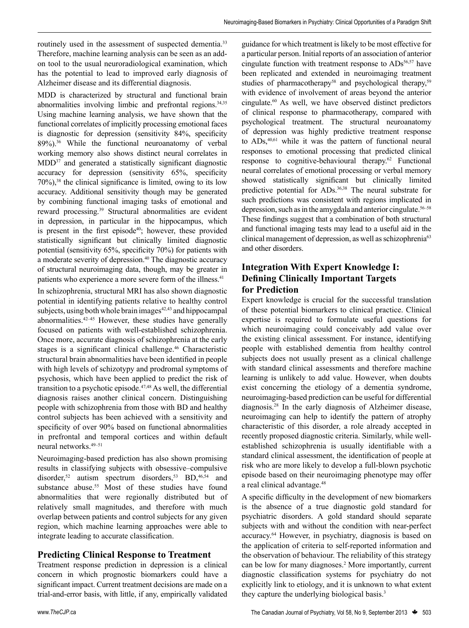routinely used in the assessment of suspected dementia.<sup>33</sup> Therefore, machine learning analysis can be seen as an addon tool to the usual neuroradiological examination, which has the potential to lead to improved early diagnosis of Alzheimer disease and its differential diagnosis.

MDD is characterized by structural and functional brain abnormalities involving limbic and prefrontal regions.<sup>34,35</sup> Using machine learning analysis, we have shown that the functional correlates of implicitly processing emotional faces is diagnostic for depression (sensitivity 84%, specificity 89%).36 While the functional neuroanatomy of verbal working memory also shows distinct neural correlates in MDD37 and generated a statistically significant diagnostic accuracy for depression (sensitivity 65%, specificity  $70\%$ ),<sup>38</sup> the clinical significance is limited, owing to its low accuracy. Additional sensitivity though may be generated by combining functional imaging tasks of emotional and reward processing.39 Structural abnormalities are evident in depression, in particular in the hippocampus, which is present in the first episode<sup>40</sup>; however, these provided statistically significant but clinically limited diagnostic potential (sensitivity 65%, specificity 70%) for patients with a moderate severity of depression.<sup>40</sup> The diagnostic accuracy of structural neuroimaging data, though, may be greater in patients who experience a more severe form of the illness.<sup>41</sup>

In schizophrenia, structural MRI has also shown diagnostic potential in identifying patients relative to healthy control subjects, using both whole brain images $42,43$  and hippocampal abnormalities. $42-45$  However, these studies have generally focused on patients with well-established schizophrenia. Once more, accurate diagnosis of schizophrenia at the early stages is a significant clinical challenge.<sup>46</sup> Characteristic structural brain abnormalities have been identified in people with high levels of schizotypy and prodromal symptoms of psychosis, which have been applied to predict the risk of transition to a psychotic episode.47,48 As well, the differential diagnosis raises another clinical concern. Distinguishing people with schizophrenia from those with BD and healthy control subjects has been achieved with a sensitivity and specificity of over 90% based on functional abnormalities in prefrontal and temporal cortices and within default neural networks.49–51

Neuroimaging-based prediction has also shown promising results in classifying subjects with obsessive–compulsive disorder,<sup>52</sup> autism spectrum disorders,<sup>53</sup> BD,<sup>46,54</sup> and substance abuse.<sup>55</sup> Most of these studies have found abnormalities that were regionally distributed but of relatively small magnitudes, and therefore with much overlap between patients and control subjects for any given region, which machine learning approaches were able to integrate leading to accurate classification.

#### **Predicting Clinical Response to Treatment**

Treatment response prediction in depression is a clinical concern in which prognostic biomarkers could have a significant impact. Current treatment decisions are made on a trial-and-error basis, with little, if any, empirically validated

guidance for which treatment is likely to be most effective for a particular person. Initial reports of an association of anterior cingulate function with treatment response to  $ADS<sup>56,57</sup>$  have been replicated and extended in neuroimaging treatment studies of pharmacotherapy<sup>58</sup> and psychological therapy,<sup>59</sup> with evidence of involvement of areas beyond the anterior cingulate.60 As well, we have observed distinct predictors of clinical response to pharmacotherapy, compared with psychological treatment. The structural neuroanatomy of depression was highly predictive treatment response to ADs,<sup>40,61</sup> while it was the pattern of functional neural responses to emotional processing that predicted clinical response to cognitive-behavioural therapy.62 Functional neural correlates of emotional processing or verbal memory showed statistically significant but clinically limited predictive potential for ADs.36,38 The neural substrate for such predictions was consistent with regions implicated in depression, such as in the amygdala and anterior cingulate.56–58 These findings suggest that a combination of both structural and functional imaging tests may lead to a useful aid in the clinical management of depression, as well as schizophrenia<sup>63</sup> and other disorders.

## **Integration With Expert Knowledge I: Defining Clinically Important Targets for Prediction**

Expert knowledge is crucial for the successful translation of these potential biomarkers to clinical practice. Clinical expertise is required to formulate useful questions for which neuroimaging could conceivably add value over the existing clinical assessment. For instance, identifying people with established dementia from healthy control subjects does not usually present as a clinical challenge with standard clinical assessments and therefore machine learning is unlikely to add value. However, when doubts exist concerning the etiology of a dementia syndrome, neuroimaging-based prediction can be useful for differential diagnosis.28 In the early diagnosis of Alzheimer disease, neuroimaging can help to identify the pattern of atrophy characteristic of this disorder, a role already accepted in recently proposed diagnostic criteria. Similarly, while wellestablished schizophrenia is usually identifiable with a standard clinical assessment, the identification of people at risk who are more likely to develop a full-blown psychotic episode based on their neuroimaging phenotype may offer a real clinical advantage.48

A specific difficulty in the development of new biomarkers is the absence of a true diagnostic gold standard for psychiatric disorders. A gold standard should separate subjects with and without the condition with near-perfect accuracy.64 However, in psychiatry, diagnosis is based on the application of criteria to self-reported information and the observation of behaviour. The reliability of this strategy can be low for many diagnoses.2 More importantly, current diagnostic classification systems for psychiatry do not explicitly link to etiology, and it is unknown to what extent they capture the underlying biological basis.<sup>3</sup>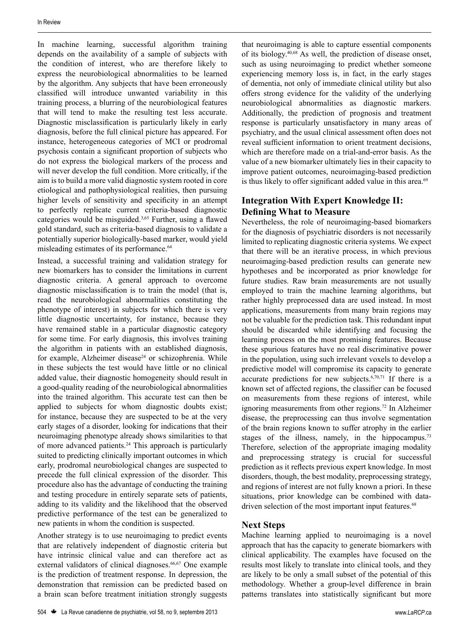In machine learning, successful algorithm training depends on the availability of a sample of subjects with the condition of interest, who are therefore likely to express the neurobiological abnormalities to be learned by the algorithm. Any subjects that have been erroneously classified will introduce unwanted variability in this training process, a blurring of the neurobiological features that will tend to make the resulting test less accurate. Diagnostic misclassification is particularly likely in early diagnosis, before the full clinical picture has appeared. For instance, heterogeneous categories of MCI or prodromal psychosis contain a significant proportion of subjects who do not express the biological markers of the process and will never develop the full condition. More critically, if the aim is to build a more valid diagnostic system rooted in core etiological and pathophysiological realities, then pursuing higher levels of sensitivity and specificity in an attempt to perfectly replicate current criteria-based diagnostic categories would be misguided.3,65 Further, using a flawed gold standard, such as criteria-based diagnosis to validate a potentially superior biologically-based marker, would yield misleading estimates of its performance.<sup>64</sup>

Instead, a successful training and validation strategy for new biomarkers has to consider the limitations in current diagnostic criteria. A general approach to overcome diagnostic misclassification is to train the model (that is, read the neurobiological abnormalities constituting the phenotype of interest) in subjects for which there is very little diagnostic uncertainty, for instance, because they have remained stable in a particular diagnostic category for some time. For early diagnosis, this involves training the algorithm in patients with an established diagnosis, for example, Alzheimer disease<sup>24</sup> or schizophrenia. While in these subjects the test would have little or no clinical added value, their diagnostic homogeneity should result in a good-quality reading of the neurobiological abnormalities into the trained algorithm. This accurate test can then be applied to subjects for whom diagnostic doubts exist; for instance, because they are suspected to be at the very early stages of a disorder, looking for indications that their neuroimaging phenotype already shows similarities to that of more advanced patients.24 This approach is particularly suited to predicting clinically important outcomes in which early, prodromal neurobiological changes are suspected to precede the full clinical expression of the disorder. This procedure also has the advantage of conducting the training and testing procedure in entirely separate sets of patients, adding to its validity and the likelihood that the observed predictive performance of the test can be generalized to new patients in whom the condition is suspected.

Another strategy is to use neuroimaging to predict events that are relatively independent of diagnostic criteria but have intrinsic clinical value and can therefore act as external validators of clinical diagnoses.<sup>66,67</sup> One example is the prediction of treatment response. In depression, the demonstration that remission can be predicted based on a brain scan before treatment initiation strongly suggests that neuroimaging is able to capture essential components of its biology.40,68 As well, the prediction of disease onset, such as using neuroimaging to predict whether someone experiencing memory loss is, in fact, in the early stages of dementia, not only of immediate clinical utility but also offers strong evidence for the validity of the underlying neurobiological abnormalities as diagnostic markers. Additionally, the prediction of prognosis and treatment response is particularly unsatisfactory in many areas of psychiatry, and the usual clinical assessment often does not reveal sufficient information to orient treatment decisions, which are therefore made on a trial-and-error basis. As the value of a new biomarker ultimately lies in their capacity to improve patient outcomes, neuroimaging-based prediction is thus likely to offer significant added value in this area.<sup>69</sup>

## **Integration With Expert Knowledge II: Defining What to Measure**

Nevertheless, the role of neuroimaging-based biomarkers for the diagnosis of psychiatric disorders is not necessarily limited to replicating diagnostic criteria systems. We expect that there will be an iterative process, in which previous neuroimaging-based prediction results can generate new hypotheses and be incorporated as prior knowledge for future studies. Raw brain measurements are not usually employed to train the machine learning algorithms, but rather highly preprocessed data are used instead. In most applications, measurements from many brain regions may not be valuable for the prediction task. This redundant input should be discarded while identifying and focusing the learning process on the most promising features. Because these spurious features have no real discriminative power in the population, using such irrelevant voxels to develop a predictive model will compromise its capacity to generate accurate predictions for new subjects.<sup>6,70,71</sup> If there is a known set of affected regions, the classifier can be focused on measurements from these regions of interest, while ignoring measurements from other regions.72 In Alzheimer disease, the preprocessing can thus involve segmentation of the brain regions known to suffer atrophy in the earlier stages of the illness, namely, in the hippocampus.<sup>73</sup> Therefore, selection of the appropriate imaging modality and preprocessing strategy is crucial for successful prediction as it reflects previous expert knowledge. In most disorders, though, the best modality, preprocessing strategy, and regions of interest are not fully known a priori. In these situations, prior knowledge can be combined with datadriven selection of the most important input features.<sup>68</sup>

#### **Next Steps**

Machine learning applied to neuroimaging is a novel approach that has the capacity to generate biomarkers with clinical applicability. The examples have focused on the results most likely to translate into clinical tools, and they are likely to be only a small subset of the potential of this methodology. Whether a group-level difference in brain patterns translates into statistically significant but more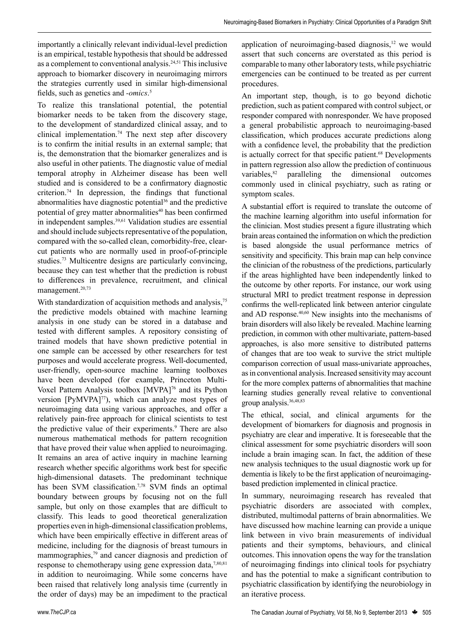importantly a clinically relevant individual-level prediction is an empirical, testable hypothesis that should be addressed as a complement to conventional analysis.<sup>24,51</sup> This inclusive approach to biomarker discovery in neuroimaging mirrors the strategies currently used in similar high-dimensional fields, such as genetics and *-omics*. 5

To realize this translational potential, the potential biomarker needs to be taken from the discovery stage, to the development of standardized clinical assay, and to clinical implementation.<sup>74</sup> The next step after discovery is to confirm the initial results in an external sample; that is, the demonstration that the biomarker generalizes and is also useful in other patients. The diagnostic value of medial temporal atrophy in Alzheimer disease has been well studied and is considered to be a confirmatory diagnostic criterion.74 In depression, the findings that functional abnormalities have diagnostic potential<sup>36</sup> and the predictive potential of grey matter abnormalities<sup>40</sup> has been confirmed in independent samples.39,61 Validation studies are essential and should include subjects representative of the population, compared with the so-called clean, comorbidity-free, clearcut patients who are normally used in proof-of-principle studies.73 Multicentre designs are particularly convincing, because they can test whether that the prediction is robust to differences in prevalence, recruitment, and clinical management.<sup>20,73</sup>

With standardization of acquisition methods and analysis,<sup>75</sup> the predictive models obtained with machine learning analysis in one study can be stored in a database and tested with different samples. A repository consisting of trained models that have shown predictive potential in one sample can be accessed by other researchers for test purposes and would accelerate progress. Well-documented, user-friendly, open-source machine learning toolboxes have been developed (for example, Princeton Multi-Voxel Pattern Analysis toolbox [MVPA]<sup>76</sup> and its Python version [PyMVPA]77), which can analyze most types of neuroimaging data using various approaches, and offer a relatively pain-free approach for clinical scientists to test the predictive value of their experiments.<sup>9</sup> There are also numerous mathematical methods for pattern recognition that have proved their value when applied to neuroimaging. It remains an area of active inquiry in machine learning research whether specific algorithms work best for specific high-dimensional datasets. The predominant technique has been SVM classification.<sup>7,78</sup> SVM finds an optimal boundary between groups by focusing not on the full sample, but only on those examples that are difficult to classify. This leads to good theoretical generalization properties even in high-dimensional classification problems, which have been empirically effective in different areas of medicine, including for the diagnosis of breast tumours in mammographies,<sup>79</sup> and cancer diagnosis and prediction of response to chemotherapy using gene expression data,<sup>7,80,81</sup> in addition to neuroimaging. While some concerns have been raised that relatively long analysis time (currently in the order of days) may be an impediment to the practical

application of neuroimaging-based diagnosis, $12$  we would assert that such concerns are overstated as this period is comparable to many other laboratory tests, while psychiatric emergencies can be continued to be treated as per current procedures.

An important step, though, is to go beyond dichotic prediction, such as patient compared with control subject, or responder compared with nonresponder. We have proposed a general probabilistic approach to neuroimaging-based classification, which produces accurate predictions along with a confidence level, the probability that the prediction is actually correct for that specific patient.<sup>68</sup> Developments in pattern regression also allow the prediction of continuous variables, $82$  paralleling the dimensional outcomes commonly used in clinical psychiatry, such as rating or symptom scales.

A substantial effort is required to translate the outcome of the machine learning algorithm into useful information for the clinician. Most studies present a figure illustrating which brain areas contained the information on which the prediction is based alongside the usual performance metrics of sensitivity and specificity. This brain map can help convince the clinician of the robustness of the predictions, particularly if the areas highlighted have been independently linked to the outcome by other reports. For instance, our work using structural MRI to predict treatment response in depression confirms the well-replicated link between anterior cingulate and AD response.<sup>40,60</sup> New insights into the mechanisms of brain disorders will also likely be revealed. Machine learning prediction, in common with other multivariate, pattern-based approaches, is also more sensitive to distributed patterns of changes that are too weak to survive the strict multiple comparison correction of usual mass-univariate approaches, as in conventional analysis. Increased sensitivity may account for the more complex patterns of abnormalities that machine learning studies generally reveal relative to conventional group analysis.36,48,83

The ethical, social, and clinical arguments for the development of biomarkers for diagnosis and prognosis in psychiatry are clear and imperative. It is foreseeable that the clinical assessment for some psychiatric disorders will soon include a brain imaging scan. In fact, the addition of these new analysis techniques to the usual diagnostic work up for dementia is likely to be the first application of neuroimagingbased prediction implemented in clinical practice.

In summary, neuroimaging research has revealed that psychiatric disorders are associated with complex, distributed, multimodal patterns of brain abnormalities. We have discussed how machine learning can provide a unique link between in vivo brain measurements of individual patients and their symptoms, behaviours, and clinical outcomes. This innovation opens the way for the translation of neuroimaging findings into clinical tools for psychiatry and has the potential to make a significant contribution to psychiatric classification by identifying the neurobiology in an iterative process.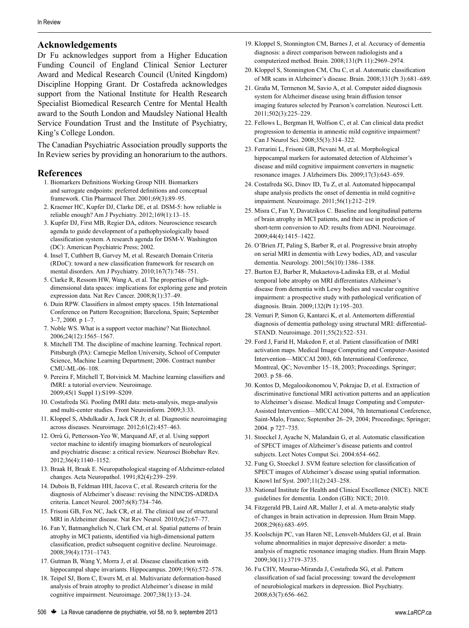#### **Acknowledgements**

Dr Fu acknowledges support from a Higher Education Funding Council of England Clinical Senior Lecturer Award and Medical Research Council (United Kingdom) Discipline Hopping Grant. Dr Costafreda acknowledges support from the National Institute for Health Research Specialist Biomedical Research Centre for Mental Health award to the South London and Maudsley National Health Service Foundation Trust and the Institute of Psychiatry, King's College London.

The Canadian Psychiatric Association proudly supports the In Review series by providing an honorarium to the authors.

#### **References**

- 1. Biomarkers Definitions Working Group NIH. Biomarkers and surrogate endpoints: preferred definitions and conceptual framework. Clin Pharmacol Ther. 2001;69(3):89–95.
- 2. Kraemer HC, Kupfer DJ, Clarke DE, et al. DSM-5: how reliable is reliable enough? Am J Psychiatry. 2012;169(1):13–15.
- 3. Kupfer DJ, First MB, Regier DA, editors. Neuroscience research agenda to guide development of a pathophysiologically based classification system. A research agenda for DSM-V. Washington (DC): American Psychiatric Press; 2002.
- 4. Insel T, Cuthbert B, Garvey M, et al. Research Domain Criteria (RDoC): toward a new classification framework for research on mental disorders. Am J Psychiatry. 2010;167(7):748–751.
- 5. Clarke R, Ressom HW, Wang A, et al. The properties of highdimensional data spaces: implications for exploring gene and protein expression data. Nat Rev Cancer. 2008;8(1):37–49.
- 6. Duin RPW. Classifiers in almost empty spaces. 15th International Conference on Pattern Recognition; Barcelona, Spain; September 3–7, 2000. p 1–7.
- 7. Noble WS. What is a support vector machine? Nat Biotechnol. 2006;24(12):1565–1567.
- 8. Mitchell TM. The discipline of machine learning. Technical report. Pittsburgh (PA): Carnegie Mellon University, School of Computer Science, Machine Learning Department; 2006. Contract number CMU-ML-06–108.
- 9. Pereira F, Mitchell T, Botvinick M. Machine learning classifiers and fMRI: a tutorial overview. Neuroimage. 2009;45(1 Suppl 1):S199–S209.
- 10. Costafreda SG. Pooling fMRI data: meta-analysis, mega-analysis and multi-center studies. Front Neuroinform. 2009;3:33.
- 11. Kloppel S, Abdulkadir A, Jack CR Jr, et al. Diagnostic neuroimaging across diseases. Neuroimage. 2012;61(2):457–463.
- 12. Orrù G, Pettersson-Yeo W, Marquand AF, et al. Using support vector machine to identify imaging biomarkers of neurological and psychiatric disease: a critical review. Neurosci Biobehav Rev. 2012;36(4):1140–1152.
- 13. Braak H, Braak E. Neuropathological stageing of Alzheimer-related changes. Acta Neuropathol. 1991;82(4):239–259.
- 14. Dubois B, Feldman HH, Jacova C, et al. Research criteria for the diagnosis of Alzheimer's disease: revising the NINCDS-ADRDA criteria. Lancet Neurol. 2007;6(8):734–746.
- 15. Frisoni GB, Fox NC, Jack CR, et al. The clinical use of structural MRI in Alzheimer disease. Nat Rev Neurol. 2010;6(2):67–77.
- 16. Fan Y, Batmanghelich N, Clark CM, et al. Spatial patterns of brain atrophy in MCI patients, identified via high-dimensional pattern classification, predict subsequent cognitive decline. Neuroimage. 2008;39(4):1731–1743.
- 17. Gutman B, Wang Y, Morra J, et al. Disease classification with hippocampal shape invariants. Hippocampus. 2009;19(6):572–578.
- 18. Teipel SJ, Born C, Ewers M, et al. Multivariate deformation-based analysis of brain atrophy to predict Alzheimer's disease in mild cognitive impairment. Neuroimage. 2007;38(1):13–24.
- 506 W La Revue canadienne de psychiatrie, vol 58, no 9, septembre 2013 www.*LaRCP*.ca
- 19. Kloppel S, Stonnington CM, Barnes J, et al. Accuracy of dementia diagnosis: a direct comparison between radiologists and a computerized method. Brain. 2008;131(Pt 11):2969–2974.
- 20. Kloppel S, Stonnington CM, Chu C, et al. Automatic classification of MR scans in Alzheimer's disease. Brain. 2008;131(Pt 3):681–689.
- 21. Graña M, Termenon M, Savio A, et al. Computer aided diagnosis system for Alzheimer disease using brain diffusion tensor imaging features selected by Pearson's correlation. Neurosci Lett. 2011;502(3):225–229.
- 22. Fellows L, Bergman H, Wolfson C, et al. Can clinical data predict progression to dementia in amnestic mild cognitive impairment? Can J Neurol Sci. 2008;35(3):314–322.
- 23. Ferrarini L, Frisoni GB, Pievani M, et al. Morphological hippocampal markers for automated detection of Alzheimer's disease and mild cognitive impairment converters in magnetic resonance images. J Alzheimers Dis. 2009;17(3):643–659.
- 24. Costafreda SG, Dinov ID, Tu Z, et al. Automated hippocampal shape analysis predicts the onset of dementia in mild cognitive impairment. Neuroimage. 2011;56(1):212–219.
- 25. Misra C, Fan Y, Davatzikos C. Baseline and longitudinal patterns of brain atrophy in MCI patients, and their use in prediction of short-term conversion to AD: results from ADNI. Neuroimage. 2009;44(4):1415–1422.
- 26. O'Brien JT, Paling S, Barber R, et al. Progressive brain atrophy on serial MRI in dementia with Lewy bodies, AD, and vascular dementia. Neurology. 2001;56(10):1386–1388.
- 27. Burton EJ, Barber R, Mukaetova-Ladinska EB, et al. Medial temporal lobe atrophy on MRI differentiates Alzheimer's disease from dementia with Lewy bodies and vascular cognitive impairment: a prospective study with pathological verification of diagnosis. Brain. 2009;132(Pt 1):195–203.
- 28. Vemuri P, Simon G, Kantarci K, et al. Antemortem differential diagnosis of dementia pathology using structural MRI: differential-STAND. Neuroimage. 2011;55(2):522–531.
- 29. Ford J, Farid H, Makedon F, et al. Patient classification of fMRI activation maps. Medical Image Computing and Computer-Assisted Intervention—MICCAI 2003, 6th International Conference, Montreal, QC; November 15–18, 2003; Proceedings. Springer; 2003. p 58–66.
- 30. Kontos D, Megalooikonomou V, Pokrajac D, et al. Extraction of discriminative functional MRI activation patterns and an application to Alzheimer's disease. Medical Image Computing and Computer-Assisted Intervention—MICCAI 2004, 7th International Conference, Saint-Malo, France; September 26–29, 2004; Proceedings; Springer; 2004. p 727–735.
- 31. Stoeckel J, Ayache N, Malandain G, et al. Automatic classification of SPECT images of Alzheimer's disease patients and control subjects. Lect Notes Comput Sci. 2004:654–662.
- 32. Fung G, Stoeckel J. SVM feature selection for classification of SPECT images of Alzheimer's disease using spatial information. Knowl Inf Syst. 2007;11(2):243–258.
- 33. National Institute for Health and Clinical Excellence (NICE). NICE guidelines for dementia. London (GB): NICE; 2010.
- 34. Fitzgerald PB, Laird AR, Maller J, et al. A meta-analytic study of changes in brain activation in depression. Hum Brain Mapp. 2008;29(6):683–695.
- 35. Koolschijn PC, van Haren NE, Lensvelt-Mulders GJ, et al. Brain volume abnormalities in major depressive disorder: a metaanalysis of magnetic resonance imaging studies. Hum Brain Mapp. 2009;30(11):3719–3735.
- 36. Fu CHY, Mourao-Miranda J, Costafreda SG, et al. Pattern classification of sad facial processing: toward the development of neurobiological markers in depression. Biol Psychiatry. 2008;63(7):656–662.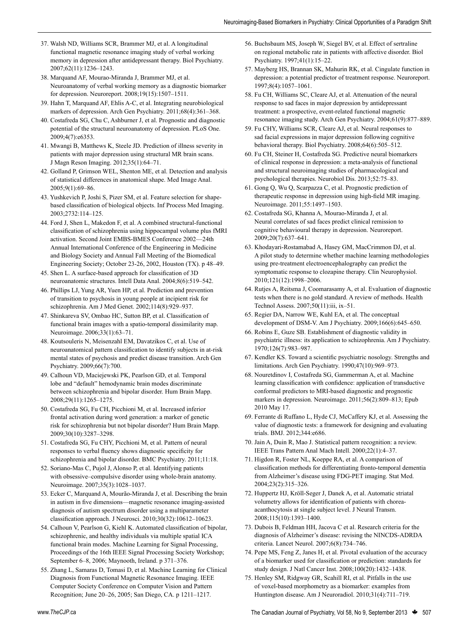- 37. Walsh ND, Williams SCR, Brammer MJ, et al. A longitudinal functional magnetic resonance imaging study of verbal working memory in depression after antidepressant therapy. Biol Psychiatry. 2007;62(11):1236–1243.
- 38. Marquand AF, Mourao-Miranda J, Brammer MJ, et al. Neuroanatomy of verbal working memory as a diagnostic biomarker for depression. Neuroreport. 2008;19(15):1507–1511.
- 39. Hahn T, Marquand AF, Ehlis A-C, et al. Integrating neurobiological markers of depression. Arch Gen Psychiatry. 2011;68(4):361–368.
- 40. Costafreda SG, Chu C, Ashburner J, et al. Prognostic and diagnostic potential of the structural neuroanatomy of depression. PLoS One. 2009;4(7):e6353.
- 41. Mwangi B, Matthews K, Steele JD. Prediction of illness severity in patients with major depression using structural MR brain scans. J Magn Reson Imaging. 2012;35(1):64–71.
- 42. Golland P, Grimson WEL, Shenton ME, et al. Detection and analysis of statistical differences in anatomical shape. Med Image Anal. 2005;9(1):69–86.
- 43. Yushkevich P, Joshi S, Pizer SM, et al. Feature selection for shapebased classification of biological objects. Inf Process Med Imaging. 2003;2732:114–125.
- 44. Ford J, Shen L, Makedon F, et al. A combined structural-functional classification of schizophrenia using hippocampal volume plus fMRI activation. Second Joint EMBS-BMES Conference 2002—24th Annual International Conference of the Engineering in Medicine and Biology Society and Annual Fall Meeting of the Biomedical Engineering Society; October 23-26, 2002, Houston (TX). p 48–49.
- 45. Shen L. A surface-based approach for classification of 3D neuroanatomic structures. Intell Data Anal. 2004;8(6):519–542.
- 46. Phillips LJ, Yung AR, Yuen HP, et al. Prediction and prevention of transition to psychosis in young people at incipient risk for schizophrenia. Am J Med Genet. 2002;114(8):929–937.
- 47. Shinkareva SV, Ombao HC, Sutton BP, et al. Classification of functional brain images with a spatio-temporal dissimilarity map. Neuroimage. 2006;33(1):63–71.
- 48. Koutsouleris N, Meisenzahl EM, Davatzikos C, et al. Use of neuroanatomical pattern classification to identify subjects in at-risk mental states of psychosis and predict disease transition. Arch Gen Psychiatry. 2009;66(7):700.
- 49. Calhoun VD, Maciejewski PK, Pearlson GD, et al. Temporal lobe and "default" hemodynamic brain modes discriminate between schizophrenia and bipolar disorder. Hum Brain Mapp. 2008;29(11):1265–1275.
- 50. Costafreda SG, Fu CH, Picchioni M, et al. Increased inferior frontal activation during word generation: a marker of genetic risk for schizophrenia but not bipolar disorder? Hum Brain Mapp. 2009;30(10):3287–3298.
- 51. Costafreda SG, Fu CHY, Picchioni M, et al. Pattern of neural responses to verbal fluency shows diagnostic specificity for schizophrenia and bipolar disorder. BMC Psychiatry. 2011;11:18.
- 52. Soriano-Mas C, Pujol J, Alonso P, et al. Identifying patients with obsessive–compulsive disorder using whole-brain anatomy. Neuroimage. 2007;35(3):1028–1037.
- 53. Ecker C, Marquand A, Mourão-Miranda J, et al. Describing the brain in autism in five dimensions—magnetic resonance imaging-assisted diagnosis of autism spectrum disorder using a multiparameter classification approach. J Neurosci. 2010;30(32):10612–10623.
- 54. Calhoun V, Pearlson G, Kiehl K. Automated classification of bipolar, schizophrenic, and healthy individuals via multiple spatial ICA functional brain modes. Machine Learning for Signal Processing, Proceedings of the 16th IEEE Signal Processing Society Workshop; September 6–8, 2006; Maynooth, Ireland. p 371–376.
- 55. Zhang L, Samaras D, Tomasi D, et al. Machine Learning for Clinical Diagnosis from Functional Magnetic Resonance Imaging. IEEE Computer Society Conference on Computer Vision and Pattern Recognition; June 20–26, 2005; San Diego, CA. p 1211–1217.
- 56. Buchsbaum MS, Joseph W, Siegel BV, et al. Effect of sertraline on regional metabolic rate in patients with affective disorder. Biol Psychiatry. 1997;41(1):15–22.
- 57. Mayberg HS, Brannan SK, Mahurin RK, et al. Cingulate function in depression: a potential predictor of treatment response. Neuroreport. 1997;8(4):1057–1061.
- 58. Fu CH, Williams SC, Cleare AJ, et al. Attenuation of the neural response to sad faces in major depression by antidepressant treatment: a prospective, event-related functional magnetic resonance imaging study. Arch Gen Psychiatry. 2004;61(9):877–889.
- 59. Fu CHY, Williams SCR, Cleare AJ, et al. Neural responses to sad facial expressions in major depression following cognitive behavioral therapy. Biol Psychiatry. 2008;64(6):505–512.
- 60. Fu CH, Steiner H, Costafreda SG. Predictive neural biomarkers of clinical response in depression: a meta-analysis of functional and structural neuroimaging studies of pharmacological and psychological therapies. Neurobiol Dis. 2013;52:75–83.
- 61. Gong Q, Wu Q, Scarpazza C, et al. Prognostic prediction of therapeutic response in depression using high-field MR imaging. Neuroimage. 2011;55:1497–1503.
- 62. Costafreda SG, Khanna A, Mourao-Miranda J, et al. Neural correlates of sad faces predict clinical remission to cognitive behavioural therapy in depression. Neuroreport. 2009;20(7):637–641.
- 63. Khodayari-Rostamabad A, Hasey GM, MacCrimmon DJ, et al. A pilot study to determine whether machine learning methodologies using pre-treatment electroencephalography can predict the symptomatic response to clozapine therapy. Clin Neurophysiol. 2010;121(12):1998–2006.
- 64. Rutjes A, Reitsma J, Coomarasamy A, et al. Evaluation of diagnostic tests when there is no gold standard. A review of methods. Health Technol Assess. 2007;50(11):iii, ix–51.
- 65. Regier DA, Narrow WE, Kuhl EA, et al. The conceptual development of DSM-V. Am J Psychiatry. 2009;166(6):645–650.
- 66. Robins E, Guze SB. Establishment of diagnostic validity in psychiatric illness: its application to schizophrenia. Am J Psychiatry. 1970;126(7):983–987.
- 67. Kendler KS. Toward a scientific psychiatric nosology. Strengths and limitations. Arch Gen Psychiatry. 1990;47(10):969–973.
- 68. Nouretdinov I, Costafreda SG, Gammerman A, et al. Machine learning classification with confidence: application of transductive conformal predictors to MRI-based diagnostic and prognostic markers in depression. Neuroimage. 2011;56(2):809–813; Epub 2010 May 17.
- 69. Ferrante di Ruffano L, Hyde CJ, McCaffery KJ, et al. Assessing the value of diagnostic tests: a framework for designing and evaluating trials. BMJ. 2012;344:e686.
- 70. Jain A, Duin R, Mao J. Statistical pattern recognition: a review. IEEE Trans Pattern Anal Mach Intell. 2000;22(1):4–37.
- 71. Higdon R, Foster NL, Koeppe RA, et al. A comparison of classification methods for differentiating fronto-temporal dementia from Alzheimer's disease using FDG-PET imaging. Stat Med. 2004;23(2):315–326.
- 72. Huppertz HJ, Kröll-Seger J, Danek A, et al. Automatic striatal volumetry allows for identification of patients with choreaacanthocytosis at single subject level. J Neural Transm. 2008;115(10):1393–1400.
- 73. Dubois B, Feldman HH, Jacova C et al. Research criteria for the diagnosis of Alzheimer's disease: revising the NINCDS-ADRDA criteria. Lancet Neurol. 2007;6(8):734–746.
- 74. Pepe MS, Feng Z, Janes H, et al. Pivotal evaluation of the accuracy of a biomarker used for classification or prediction: standards for study design. J Natl Cancer Inst. 2008;100(20):1432–1438.
- 75. Henley SM, Ridgway GR, Scahill RI, et al. Pitfalls in the use of voxel-based morphometry as a biomarker: examples from Huntington disease. Am J Neuroradiol. 2010;31(4):711–719.